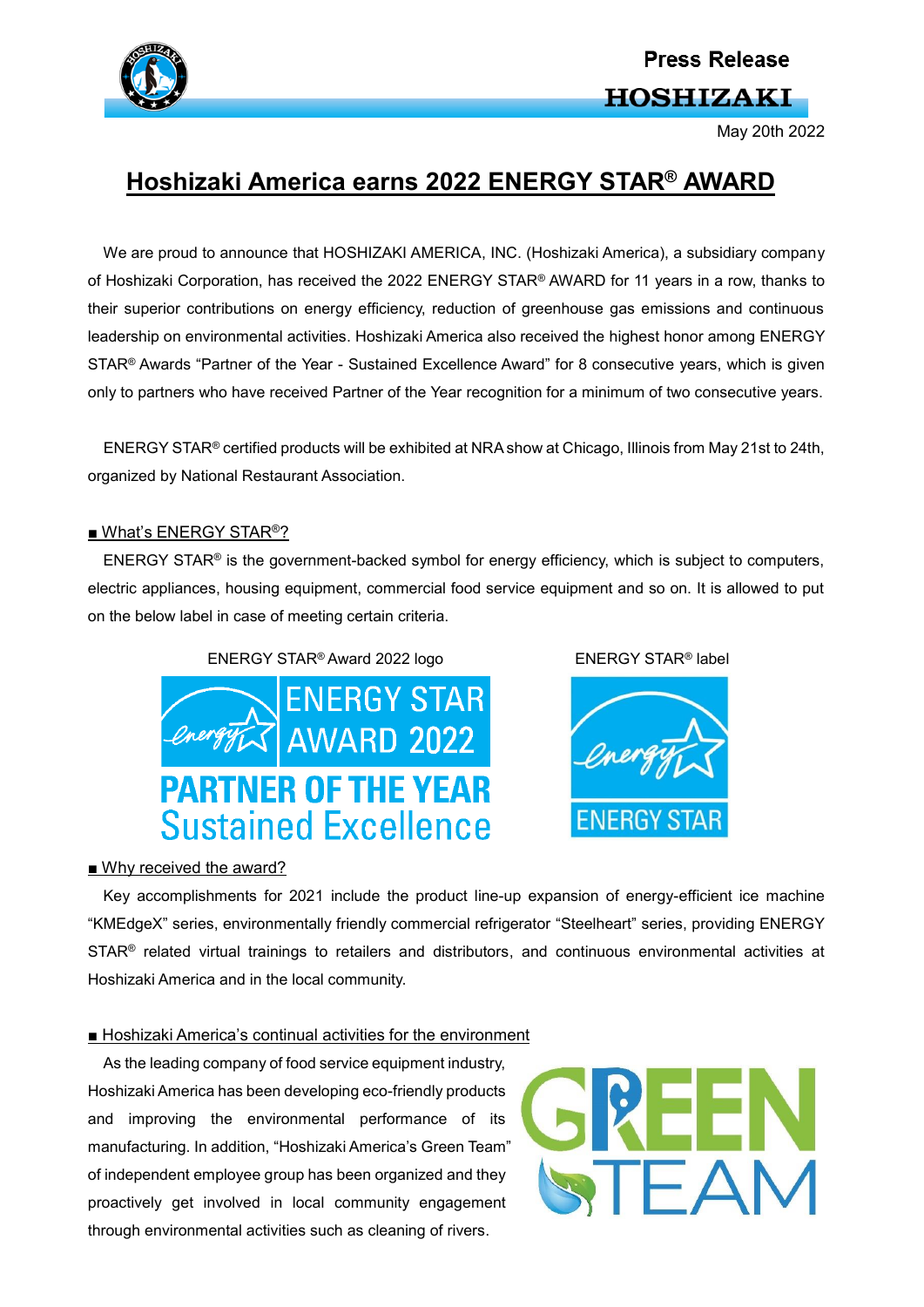

# **Press Release HOSHIZAKI**

May 20th 2022

## **Hoshizaki America earns 2022 ENERGY STAR® AWARD**

We are proud to announce that HOSHIZAKI AMERICA, INC. (Hoshizaki America), a subsidiary company of Hoshizaki Corporation, has received the 2022 ENERGY STAR® AWARD for 11 years in a row, thanks to their superior contributions on energy efficiency, reduction of greenhouse gas emissions and continuous leadership on environmental activities. Hoshizaki America also received the highest honor among ENERGY STAR® Awards "Partner of the Year - Sustained Excellence Award" for 8 consecutive years, which is given only to partners who have received Partner of the Year recognition for a minimum of two consecutive years.

ENERGY STAR® certified products will be exhibited at NRA show at Chicago, Illinois from May 21st to 24th, organized by National Restaurant Association.

#### ■ What's ENERGY STAR<sup>®</sup>?

ENERGY STAR® is the government-backed symbol for energy efficiency, which is subject to computers, electric appliances, housing equipment, commercial food service equipment and so on. It is allowed to put on the below label in case of meeting certain criteria.

### ENERGY STAR<sup>®</sup> Award 2022 logo ENERGY STAR<sup>®</sup> label







#### ■ Why received the award?

Key accomplishments for 2021 include the product line-up expansion of energy-efficient ice machine "KMEdgeX" series, environmentally friendly commercial refrigerator "Steelheart" series, providing ENERGY STAR<sup>®</sup> related virtual trainings to retailers and distributors, and continuous environmental activities at Hoshizaki America and in the local community.

#### ■ Hoshizaki America's continual activities for the environment

As the leading company of food service equipment industry. Hoshizaki America has been developing eco-friendly products and improving the environmental performance of its manufacturing. In addition, "Hoshizaki America's Green Team" of independent employee group has been organized and they proactively get involved in local community engagement through environmental activities such as cleaning of rivers.